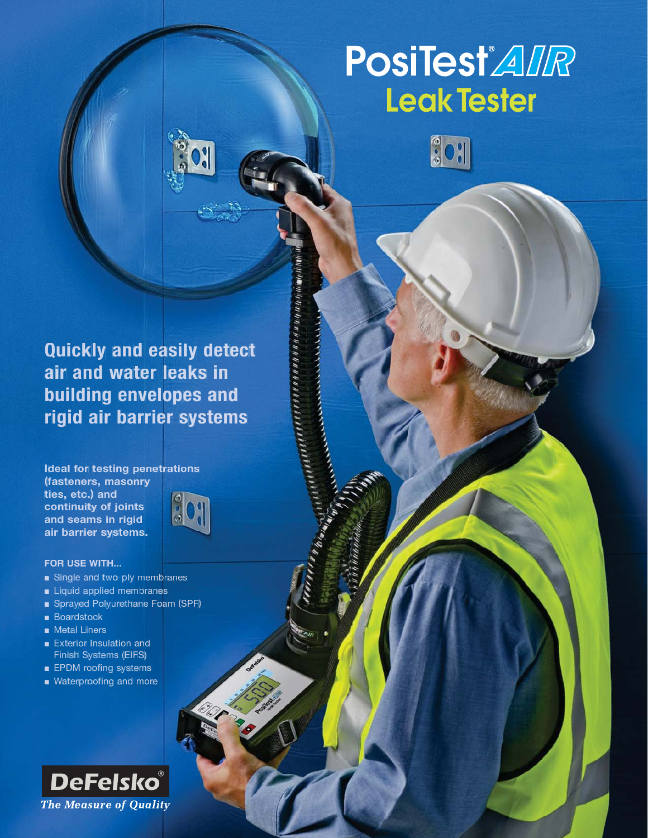# **PosiTest**<sup>'</sup> *AIR* **Leak Tester**



**Quickly and easily detect air and water leaks in building envelopes and rigid air barrier systems**

**CONTRACTORY** 

**Ideal for testing penetrations (fasteners, masonry ties, etc.) and** 809 **continuity of joints and seams in rigid air barrier systems.**



- Single and two-ply membranes
- Liquid applied membranes
- Sprayed Polyurethane Foam (SPF)
- Boardstock
- Metal Liners
- Exterior Insulation and Finish Systems (EIFS)
- EPDM roofing systems
- Waterproofing and more